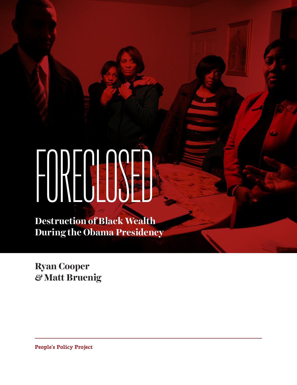# FORECASE

**Destruction of Black Wealth During the Obama Presidency**

**Ryan Cooper**  *&* **Matt Bruenig**

**People's Policy Project**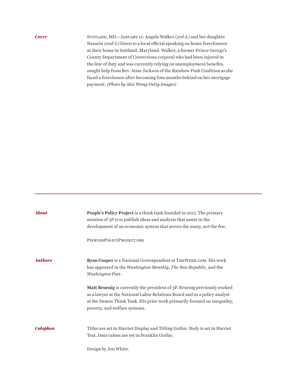#### *Cover*

Suitland, MD—January 11: Angela Walker *(3rd-L)* and her daughter Nazarin *(2nd-L)* listen to a local official speaking on home foreclosures at their home in Suitland, Maryland. Walker, a former Prince George's County Department of Corrections corporal who had been injured in the line of duty and was currently relying on unemployment benefits, sought help from Rev. Jesse Jackson of the Rainbow Push Coalition as she faced a foreclosure after becoming four months behind on her mortgage payment. *(Photo by Alex Wong/Getty Images)*

| <b>About</b>    | People's Policy Project is a think tank founded in 2017. The primary<br>mission of 3P is to publish ideas and analysis that assist in the<br>development of an economic system that serves the many, not the few.                                                  |
|-----------------|--------------------------------------------------------------------------------------------------------------------------------------------------------------------------------------------------------------------------------------------------------------------|
|                 | PEOPLESPOLICYPROJECT.ORG                                                                                                                                                                                                                                           |
| <b>Authors</b>  | Ryan Cooper is a National Correspondent at THEWEEK.COM. His work<br>has appeared in the Washington Monthly, The New Republic, and the<br>Washington Post.                                                                                                          |
|                 | Matt Bruenig is currently the president of 3P. Bruenig previously worked<br>as a lawyer at the National Labor Relations Board and as a policy analyst<br>at the Demos Think Tank. His prior work primarily focused on inequality,<br>poverty, and welfare systems. |
| <b>Colophon</b> | Titles are set in Harriet Display and Titling Gothic. Body is set in Harriet<br>Text. Data values are set in Franklin Gothic.                                                                                                                                      |
|                 | Design by Jon White.                                                                                                                                                                                                                                               |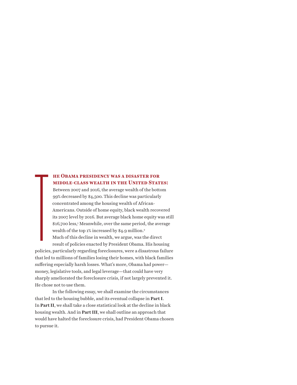#### **he Obama presidency was a disaster for middle-class wealth in the United States:**

Between 2007 and 2016, the average wealth of the bottom 99% decreased by \$4,500. This decline was particularly concentrated among the housing wealth of African-Americans. Outside of home equity, black wealth recovered its 2007 level by 2016. But average black home equity was still \$16,700 less,1 Meanwhile, over the same period, the average wealth of the top 1% increased by \$4.9 million.<sup>2</sup> Much of this decline in wealth, we argue, was the direct

result of policies enacted by President Obama. His housing policies, particularly regarding foreclosures, were a disastrous failure that led to millions of families losing their homes, with black families suffering especially harsh losses. What's more, Obama had power money, legislative tools, and legal leverage—that could have very sharply ameliorated the foreclosure crisis, if not largely prevented it. He chose not to use them. The Contract of the Contract of the Contract of the Contract of the Contract of the Contract of the Contract of the Contract of the Contract of the Contract of the Contract of the Contract of the Contract of the Contract o

In the following essay, we shall examine the circumstances that led to the housing bubble, and its eventual collapse in **Part I**. In **Part II**, we shall take a close statistical look at the decline in black housing wealth. And in **Part III**, we shall outline an approach that would have halted the foreclosure crisis, had President Obama chosen to pursue it.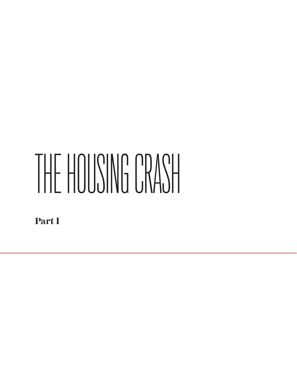# THE HOUSING CRASH

**Part I**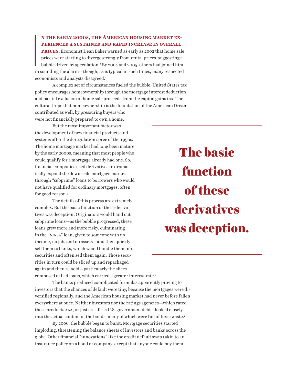#### **n the early 2000s, the American housing market experienced a sustained and rapid increase in overall**

I<br>I<br>I<br>I<br>I<br>I **PRICES.** Economist Dean Baker warned as early as 2002 that home sale prices were starting to diverge strongly from rental prices, suggesting a bubble driven by speculation.3 By 2004 and 2005, others had joined him in sounding the alarm—though, as is typical in such times, many respected economists and analysts disagreed.4

A complex set of circumstances fueled the bubble. United States tax policy encourages homeownership through the mortgage interest deduction and partial exclusion of home sale proceeds from the capital gains tax. The cultural trope that homeownership is the foundation of the American Dream contributed as well, by pressuring buyers who were not financially prepared to own a home.

But the most important factor was the development of new financial products and systems after the deregulation spree of the 1990s. The home mortgage market had long been mature by the early 2000s, meaning that most people who could qualify for a mortgage already had one. So, financial companies used derivatives to dramatically expand the downscale mortgage market through "subprime" loans to borrowers who would not have qualified for ordinary mortgages, often for good reason.5

The details of this process are extremely complex. But the basic function of these derivatives was deception: Originators would hand out subprime loans—as the bubble progressed, these loans grew more and more risky, culminating in the "NINJA" loan, given to someone with no income, no job, and no assets—and then quickly sell them to banks, which would bundle them into securities and often sell them again. Those securities in turn could be sliced up and repackaged again and then re-sold—particularly the slices composed of bad loans, which carried a greater interest rate.6

The basic function of these derivatives was deception.

The banks produced complicated formulas apparently proving to investors that the chances of default were tiny, because the mortgages were diversified regionally, and the American housing market had never before fallen everywhere at once. Neither investors nor the ratings agencies—which rated these products aaa, or just as safe as U.S. government debt—looked closely into the actual content of the bonds, many of which were full of toxic waste.7

By 2006, the bubble began to burst. Mortgage securities started imploding, threatening the balance sheets of investors and banks across the globe. Other financial "innovations" like the credit default swap (akin to an insurance policy on a bond or company, except that anyone could buy them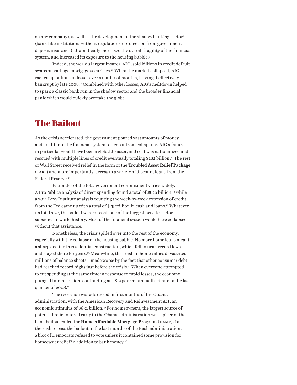on any company), as well as the development of the shadow banking sector8 (bank-like institutions without regulation or protection from government deposit insurance), dramatically increased the overall fragility of the financial system, and increased its exposure to the housing bubble.9

Indeed, the world's largest insurer, AIG, sold billions in credit default swaps on garbage mortgage securities.10 When the market collapsed, AIG racked up billions in losses over a matter of months, leaving it effectively bankrupt by late 2008.11 Combined with other losses, AIG's meltdown helped to spark a classic bank run in the shadow sector and the broader financial panic which would quickly overtake the globe.

### The Bailout

As the crisis accelerated, the government poured vast amounts of money and credit into the financial system to keep it from collapsing. AIG's failure in particular would have been a global disaster, and so it was nationalized and rescued with multiple lines of credit eventually totaling \$182 billion.<sup>12</sup> The rest of Wall Street received relief in the form of the **Troubled Asset Relief Package** (tarp) and more importantly, access to a variety of discount loans from the Federal Reserve.13

Estimates of the total government commitment varies widely. A ProPublica analysis of direct spending found a total of \$626 billion,<sup>14</sup> while a 2011 Levy Institute analysis counting the week-by-week extension of credit from the Fed came up with a total of \$29 trillion in cash and loans.15 Whatever its total size, the bailout was colossal, one of the biggest private sector subsidies in world history. Most of the financial system would have collapsed without that assistance.

Nonetheless, the crisis spilled over into the rest of the economy, especially with the collapse of the housing bubble. No more home loans meant a sharp decline in residential construction, which fell to near-record lows and stayed there for years.16 Meanwhile, the crash in home values devastated millions of balance sheets—made worse by the fact that other consumer debt had reached record highs just before the crisis.<sup>17</sup> When everyone attempted to cut spending at the same time in response to rapid losses, the economy plunged into recession, contracting at a 8.9 percent annualized rate in the last quarter of 2008.18

The recession was addressed in first months of the Obama administration, with the American Recovery and Reinvestment Act, an economic stimulus of \$831 billion.19 For homeowners, the largest source of potential relief offered early in the Obama administration was a piece of the bank bailout called the **Home Affordable Mortgage Program** (hamp). In the rush to pass the bailout in the last months of the Bush administration, a bloc of Democrats refused to vote unless it contained some provision for homeowner relief in addition to bank money.<sup>20</sup>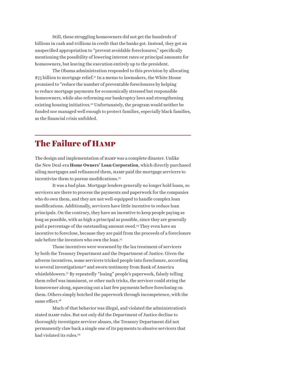Still, these struggling homeowners did not get the hundreds of billions in cash and trillions in credit that the banks got. Instead, they got an unspecified appropriation to "prevent avoidable foreclosures," specifically mentioning the possibility of lowering interest rates or principal amounts for homeowners, but leaving the execution entirely up to the president.

The Obama administration responded to this provision by allocating \$75 billion to mortgage relief.<sup>21</sup> In a memo to lawmakers, the White House promised to "reduce the number of preventable foreclosures by helping to reduce mortgage payments for economically stressed but responsible homeowners, while also reforming our bankruptcy laws and strengthening existing housing initiatives.<sup>22</sup> Unfortunately, the program would neither be funded nor managed well enough to protect families, especially black families, as the financial crisis unfolded.

# The Failure of Hamp

The design and implementation of hamp was a complete disaster. Unlike the New Deal-era **Home Owners' Loan Corporation**, which directly purchased ailing mortgages and refinanced them, hamp paid the mortgage servicers to incentivize them to pursue modifications.<sup>23</sup>

It was a bad plan. Mortgage lenders generally no longer hold loans, so servicers are there to process the payments and paperwork for the companies who do own them, and they are not well-equipped to handle complex loan modifications. Additionally, servicers have little incentive to reduce loan principals. On the contrary, they have an incentive to keep people paying as long as possible, with as high a principal as possible, since they are generally paid a percentage of the outstanding amount owed.24 They even have an incentive to foreclose, because they are paid from the proceeds of a foreclosure sale before the investors who own the loan.<sup>25</sup>

Those incentives were worsened by the lax treatment of servicers by both the Treasury Department and the Department of Justice. Given the adverse incentives, some servicers tricked people into foreclosure, according to several investigations<sup>26</sup> and sworn testimony from Bank of America whistleblowers.<sup>27</sup> By repeatedly "losing" people's paperwork, falsely telling them relief was imminent, or other such tricks, the servicer could string the homeowner along, squeezing out a last few payments before foreclosing on them. Others simply botched the paperwork through incompetence, with the same effect.<sup>28</sup>

Much of that behavior was illegal, and violated the administration's stated hamp rules. But not only did the Department of Justice decline to thoroughly investigate servicer abuses, the Treasury Department did not permanently claw back a single one of its payments to abusive servicers that had violated its rules.<sup>29</sup>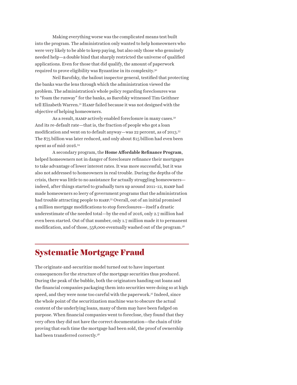Making everything worse was the complicated means test built into the program. The administration only wanted to help homeowners who were very likely to be able to keep paying, but also only those who genuinely needed help—a double bind that sharply restricted the universe of qualified applications. Even for those that did qualify, the amount of paperwork required to prove eligibility was Byzantine in its complexity.30

Neil Barofsky, the bailout inspector general, testified that protecting the banks was the lens through which the administration viewed the problem. The administration's whole policy regarding foreclosures was to "foam the runway" for the banks, as Barofsky witnessed Tim Geithner tell Elizabeth Warren.31 Hamp failed because it was not designed with the objective of helping homeowners.

As a result, HAMP actively enabled foreclosure in many cases.<sup>32</sup> And its re-default rate—that is, the fraction of people who got a loan modification and went on to default anyway—was 22 percent, as of 2013.33 The \$75 billion was later reduced, and only about \$15 billion had even been spent as of mid-2016.34

A secondary program, the **Home Affordable Refinance Program**, helped homeowners not in danger of foreclosure refinance their mortgages to take advantage of lower interest rates. It was more successful, but it was also not addressed to homeowners in real trouble. During the depths of the crisis, there was little to no assistance for actually struggling homeowners indeed, after things started to gradually turn up around 2011–12, HAMP had made homeowners so leery of government programs that the administration had trouble attracting people to harp. 35 Overall, out of an initial promised 4 million mortgage modifications to stop foreclosures—itself a drastic underestimate of the needed total—by the end of 2016, only 2.7 million had even been started. Out of that number, only 1.7 million made it to permanent modification, and of those, 558,000 eventually washed out of the program.36

### Systematic Mortgage Fraud

The originate-and-securitize model turned out to have important consequences for the structure of the mortgage securities thus produced. During the peak of the bubble, both the originators handing out loans and the financial companies packaging them into securities were doing so at high speed, and they were none too careful with the paperwork.37 Indeed, since the whole point of the securitization machine was to obscure the actual content of the underlying loans, many of them may have been fudged on purpose. When financial companies went to foreclose, they found that they very often they did not have the correct documentation—the chain of title proving that each time the mortgage had been sold, the proof of ownership had been transferred correctly.38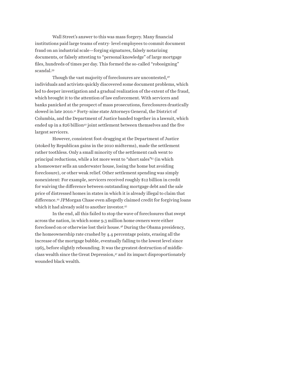Wall Street's answer to this was mass forgery. Many financial institutions paid large teams of entry- level employees to commit document fraud on an industrial scale—forging signatures, falsely notarizing documents, or falsely attesting to "personal knowledge" of large mortgage files, hundreds of times per day. This formed the so-called "robosigning" scandal.39

Though the vast majority of foreclosures are uncontested,<sup>40</sup> individuals and activists quickly discovered some document problems, which led to deeper investigation and a gradual realization of the extent of the fraud, which brought it to the attention of law enforcement. With servicers and banks panicked at the prospect of mass prosecutions, foreclosures drastically slowed in late 2010.41 Forty-nine state Attorneys General, the District of Columbia, and the Department of Justice banded together in a lawsuit, which ended up in a \$26 billion<sup>42</sup> joint settlement between themselves and the five largest servicers.

However, consistent foot-dragging at the Department of Justice (stoked by Republican gains in the 2010 midterms), made the settlement rather toothless. Only a small minority of the settlement cash went to principal reductions, while a lot more went to "short sales"43 (in which a homeowner sells an underwater house, losing the home but avoiding foreclosure), or other weak relief. Other settlement spending was simply nonexistent: For example, servicers received roughly \$12 billion in credit for waiving the difference between outstanding mortgage debt and the sale price of distressed homes in states in which it is already illegal to claim that difference.44 JPMorgan Chase even allegedly claimed credit for forgiving loans which it had already sold to another investor.45

In the end, all this failed to stop the wave of foreclosures that swept across the nation, in which some 9.3 million home owners were either foreclosed on or otherwise lost their house.46 During the Obama presidency, the homeownership rate crashed by 4.4 percentage points, erasing all the increase of the mortgage bubble, eventually falling to the lowest level since 1965, before slightly rebounding. It was the greatest destruction of middleclass wealth since the Great Depression, $47$  and its impact disproportionately wounded black wealth.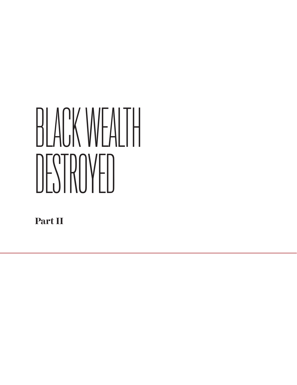# BLACK WEALTH DESTROYED

**Part II**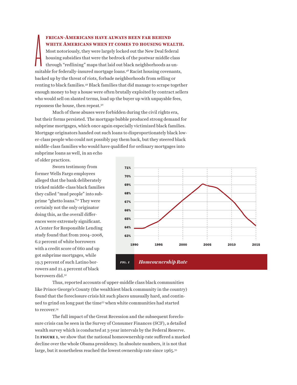#### **frican-Americans have always been far behind white Americans when it comes to housing wealth.**

 $\sum_{\rm suit}$ Most notoriously, they were largely locked out the New Deal federal housing subsidies that were the bedrock of the postwar middle class through "redlining" maps that laid out black neighborhoods as unsuitable for federally-insured mortgage loans.<sup>48</sup> Racist housing covenants, backed up by the threat of riots, forbade neighborhoods from selling or renting to black families.49 Black families that did manage to scrape together enough money to buy a house were often brutally exploited by contract sellers who would sell on slanted terms, load up the buyer up with unpayable fees, repossess the house, then repeat.50

Much of these abuses were forbidden during the civil rights era, but their forms persisted. The mortgage bubble produced strong demand for subprime mortgages, which once again especially victimized black families. Mortgage originators handed out such loans to disproportionately black lower-class people who could not possibly pay them back, but they steered black middle-class families who would have qualified for ordinary mortgages into

subprime loans as well, in an echo of older practices.

Sworn testimony from former Wells Fargo employees alleged that the bank deliberately tricked middle-class black families they called "mud people" into subprime "ghetto loans."51 They were certainly not the only originator doing this, as the overall differences were extremely significant. A Center for Responsible Lending study found that from 2004–2008, 6.2 percent of white borrowers with a credit score of 660 and up got subprime mortgages, while 19.3 percent of such Latino borrowers and 21.4 percent of black borrowers did.<sup>52</sup>



Thus, reported accounts of upper-middle class black communities like Prince George's County (the wealthiest black community in the country) found that the foreclosure crisis hit such places unusually hard, and continued to grind on long past the time53 when white communities had started to recover.54

The full impact of the Great Recession and the subsequent foreclosure crisis can be seen in the Survey of Consumer Finances (SCF), a detailed wealth survey which is conducted at 3-year intervals by the Federal Reserve. In **figure 1**, we show that the national homeownership rate suffered a marked decline over the whole Obama presidency. In absolute numbers, it is not that large, but it nonetheless reached the lowest ownership rate since 1965.<sup>55</sup>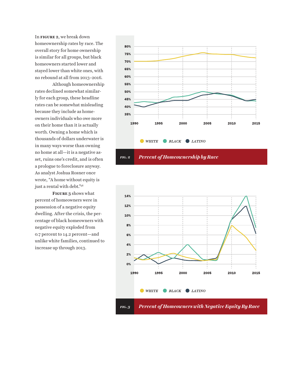In **figure 2**, we break down homeownership rates by race. The overall story for home ownership is similar for all groups, but black homeowners started lower and stayed lower than white ones, with no rebound at all from 2013–2016.

Although homeownership rates declined somewhat similarly for each group, these headline rates can be somewhat misleading because they include as homeowners individuals who owe more on their home than it is actually worth. Owning a home which is thousands of dollars underwater is in many ways worse than owning no home at all—it is a negative asset, ruins one's credit, and is often a prologue to foreclosure anyway. As analyst Joshua Rosner once wrote, "A home without equity is just a rental with debt."56

**Figure 3** shows what percent of homeowners were in possession of a negative equity dwelling. After the crisis, the percentage of black homeowners with negative equity exploded from 0.7 percent to 14.2 percent—and unlike white families, continued to increase up through 2013.



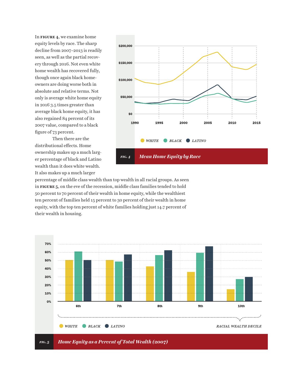In **figure 4**, we examine home equity levels by race. The sharp decline from 2007–2013 is readily seen, as well as the partial recovery through 2016. Not even white home wealth has recovered fully, though once again black homeowners are doing worse both in absolute and relative terms. Not only is average white home equity in 2016 3.5 times greater than average black home equity, it has also regained 84 percent of its 2007 value, compared to a black figure of 73 percent.

Then there are the distributional effects. Home ownership makes up a much larger percentage of black and Latino wealth than it does white wealth. It also makes up a much larger



percentage of middle class wealth than top wealth in all racial groups. As seen in **figure 5**, on the eve of the recession, middle class families tended to hold 50 percent to 70 percent of their wealth in home equity, while the wealthiest ten percent of families held 15 percent to 30 percent of their wealth in home equity, with the top ten percent of white families holding just 14.7 percent of their wealth in housing.

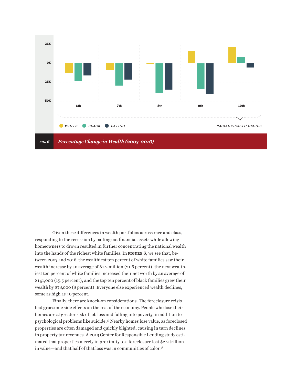

Given these differences in wealth portfolios across race and class, responding to the recession by bailing out financial assets while allowing homeowners to drown resulted in further concentrating the national wealth into the hands of the richest white families. In **figure 6**, we see that, between 2007 and 2016, the wealthiest ten percent of white families saw their wealth increase by an average of \$1.2 million (21.6 percent), the next wealthiest ten percent of white families increased their net worth by an average of \$141,000 (15.5 percent), and the top ten percent of black families grew their wealth by \$78,000 (8 percent). Everyone else experienced wealth declines, some as high as 40 percent.

Finally, there are knock-on considerations. The foreclosure crisis had gruesome side effects on the rest of the economy. People who lose their homes are at greater risk of job loss and falling into poverty, in addition to psychological problems like suicide.57 Nearby homes lose value, as foreclosed properties are often damaged and quickly blighted, causing in turn declines in property tax revenues. A 2013 Center for Responsible Lending study estimated that properties merely in proximity to a foreclosure lost \$2.2 trillion in value—and that half of that loss was in communities of color.58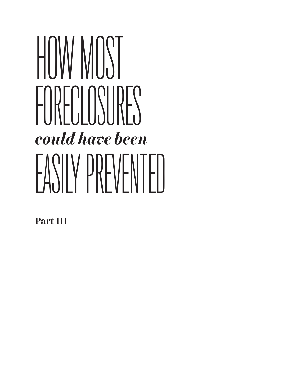# HOW MOST FORECLOSURES FASILY PREVENTELL *could have been*

**Part III**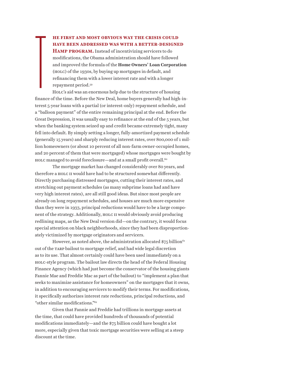**he first and most obvious way the crisis could have been addressed was with a better-designed Hamp program.** Instead of incentivizing servicers to do modifications, the Obama administration should have followed and improved the formula of the **Home Owners' Loan Corporation** (holc) of the 1930s, by buying up mortgages in default, and refinancing them with a lower interest rate and with a longer repayment period.59

**The Community of the Community Community** Holc's aid was an enormous help due to the structure of housing finance of the time. Before the New Deal, home buyers generally had high-interest 5-year loans with a partial (or interest-only) repayment schedule, and a "balloon payment" of the entire remaining principal at the end. Before the Great Depression, it was usually easy to refinance at the end of the 5 years, but when the banking system seized up and credit became extremely tight, many fell into default. By simply setting a longer, fully-amortized payment schedule (generally 15 years) and sharply reducing interest rates, over 800,000 of 1 million homeowners (or about 10 percent of all non-farm owner-occupied homes, and 20 percent of them that were mortgaged) whose mortgages were bought by holc managed to avoid foreclosure—and at a small profit overall.60

The mortgage market has changed considerably over 80 years, and therefore a holc ii would have had to be structured somewhat differently. Directly purchasing distressed mortgages, cutting their interest rates, and stretching out payment schedules (as many subprime loans had and have very high interest rates), are all still good ideas. But since most people are already on long repayment schedules, and houses are much more expensive than they were in 1933, principal reductions would have to be a large component of the strategy. Additionally, HOLC II would obviously avoid producing redlining maps, as the New Deal version did—on the contrary, it would focus special attention on black neighborhoods, since they had been disproportionately victimized by mortgage originators and servicers.

However, as noted above, the administration allocated  $$75$  billion<sup>61</sup> out of the tarp bailout to mortgage relief, and had wide legal discretion as to its use. That almost certainly could have been used immediately on a holc-style program. The bailout law directs the head of the Federal Housing Finance Agency (which had just become the conservator of the housing giants Fannie Mae and Freddie Mac as part of the bailout) to "implement a plan that seeks to maximize assistance for homeowners" on the mortgages that it owns, in addition to encouraging servicers to modify their terms. For modifications, it specifically authorizes interest rate reductions, principal reductions, and "other similar modifications."62

Given that Fannie and Freddie had trillions in mortgage assets at the time, that could have provided hundreds of thousands of potential modifications immediately—and the \$75 billion could have bought a lot more, especially given that toxic mortgage securities were selling at a steep discount at the time.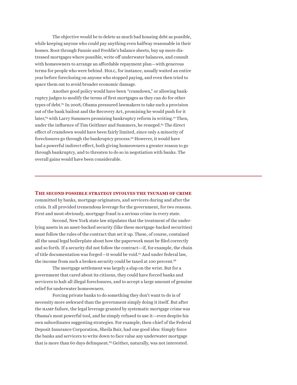The objective would be to delete as much bad housing debt as possible, while keeping anyone who could pay anything even halfway reasonable in their homes. Root through Fannie and Freddie's balance sheets, buy up more distressed mortgages where possible, write off underwater balances, and consult with homeowners to arrange an affordable repayment plan—with generous terms for people who were behind. Holc, for instance, usually waited an entire year before foreclosing on anyone who stopped paying, and even then tried to space them out to avoid broader economic damage.

Another good policy would have been "cramdown," or allowing bankruptcy judges to modify the terms of first mortgages as they can do for other types of debt.<sup>63</sup> In 2008, Obama pressured lawmakers to take such a provision out of the bank bailout and the Recovery Act, promising he would push for it later, $64$  with Larry Summers promising bankruptcy reform in writing.<sup>22</sup> Then, under the influence of Tim Geithner and Summers, he reneged.<sup>65</sup> The direct effect of cramdown would have been fairly limited, since only a minority of foreclosures go through the bankruptcy process.<sup>66</sup> However, it would have had a powerful indirect effect, both giving homeowners a greater reason to go through bankruptcy, and to threaten to do so in negotiation with banks. The overall gains would have been considerable.

#### **The second possible strategy involves the tsunami of crime**

committed by banks, mortgage originators, and servicers during and after the crisis. It all provided tremendous leverage for the government, for two reasons. First and most obviously, mortgage fraud is a serious crime in every state.

Second, New York state law stipulates that the treatment of the underlying assets in an asset-backed security (like these mortgage-backed securities) must follow the rules of the contract that set it up. These, of course, contained all the usual legal boilerplate about how the paperwork must be filed correctly and so forth. If a security did not follow the contract—if, for example, the chain of title documentation was forged—it would be void.<sup>67</sup> And under federal law, the income from such a broken security could be taxed at 100 percent.<sup>68</sup>

The mortgage settlement was largely a slap on the wrist. But for a government that cared about its citizens, they could have forced banks and servicers to halt all illegal foreclosures, and to accept a large amount of genuine relief for underwater homeowners.

Forcing private banks to do something they don't want to do is of necessity more awkward than the government simply doing it itself. But after the hamp failure, the legal leverage granted by systematic mortgage crime was Obama's most powerful tool, and he simply refused to use it—even despite his own subordinates suggesting strategies. For example, then-chief of the Federal Deposit Insurance Corporation, Sheila Bair, had one good idea: Simply force the banks and servicers to write down to face value any underwater mortgage that is more than 60 days delinquent.<sup>69</sup> Geither, naturally, was not interested.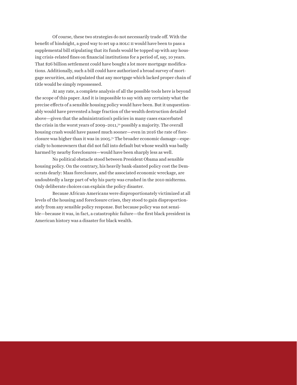Of course, these two strategies do not necessarily trade off. With the benefit of hindsight, a good way to set up a HOLC II would have been to pass a supplemental bill stipulating that its funds would be topped up with any housing crisis-related fines on financial institutions for a period of, say, 10 years. That \$26 billion settlement could have bought a lot more mortgage modifications. Additionally, such a bill could have authorized a broad survey of mortgage securities, and stipulated that any mortgage which lacked proper chain of title would be simply repossessed.

At any rate, a complete analysis of all the possible tools here is beyond the scope of this paper. And it is impossible to say with any certainty what the precise effects of a sensible housing policy would have been. But it unquestionably would have prevented a huge fraction of the wealth destruction detailed above—given that the administration's policies in many cases exacerbated the crisis in the worst years of 2009–2011,70 possibly a majority. The overall housing crash would have passed much sooner—even in 2016 the rate of foreclosure was higher than it was in 2005.71 The broader economic damage—especially to homeowners that did not fall into default but whose wealth was badly harmed by nearby foreclosures—would have been sharply less as well.

No political obstacle stood between President Obama and sensible housing policy. On the contrary, his heavily bank-slanted policy cost the Democrats dearly: Mass foreclosure, and the associated economic wreckage, are undoubtedly a large part of why his party was crushed in the 2010 midterms. Only deliberate choices can explain the policy disaster.

Because African-Americans were disproportionately victimized at all levels of the housing and foreclosure crises, they stood to gain disproportionately from any sensible policy response. But because policy was not sensible—because it was, in fact, a catastrophic failure—the first black president in American history was a disaster for black wealth.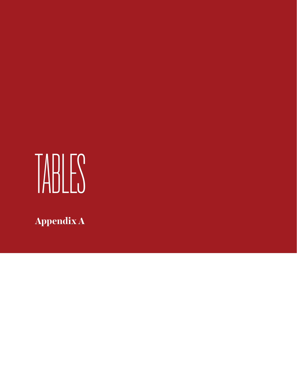# TABLES

**Appendix A**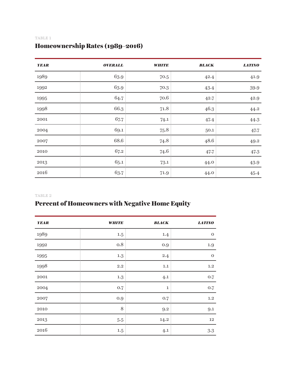#### TABLE 1

# Homeownership Rates (1989–2016)

| <b>YEAR</b> | <b>OVERALL</b> | <b>WHITE</b> | <b>BLACK</b> | <b>LATINO</b> |
|-------------|----------------|--------------|--------------|---------------|
| 1989        | 63.9           | 70.5         | 42.4         | 41.9          |
| 1992        | 63.9           | 70.3         | 43.4         | $39.9\,$      |
| 1995        | 64.7           | 70.6         | 42.7         | 42.9          |
| 1998        | 66.3           | 71.8         | 46.3         | 44.2          |
| 2001        | 67.7           | 74.1         | 47.4         | 44.3          |
| 2004        | 69.1           | 75.8         | 50.1         | 47.7          |
| 2007        | 68.6           | 74.8         | 48.6         | 49.2          |
| 2010        | 67.2           | 74.6         | 47.7         | 47.3          |
| 2013        | 65.1           | 73.1         | 44.0         | 43.9          |
| $\,2016$    | 63.7           | 71.9         | 44.0         | 45.4          |

#### TABLE 2

# Percent of Homeowners with Negative Home Equity

| <b>YEAR</b> | <b>WHITE</b> | <b>BLACK</b> | <b>LATINO</b> |
|-------------|--------------|--------------|---------------|
| 1989        | $1.5\,$      | 1.4          | $\mathbf{O}$  |
| 1992        | 0.8          | 0.9          | $1.9\,$       |
| 1995        | 1.3          | 2.4          | $\mathbf{O}$  |
| 1998        | $2.2\,$      | 1.1          | $1.2\,$       |
| $\rm 2001$  | 1.3          | 4.1          | 0.7           |
| 2004        | 0.7          | $\mathbf{1}$ | 0.7           |
| 2007        | 0.9          | 0.7          | 1.2           |
| $2010\,$    | 8            | 9.2          | 9.1           |
| 2013        | $5.5\,$      | 14.2         | 12            |
| 2016        | 1.5          | 4.1          | 3.3           |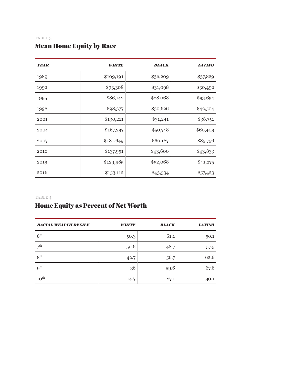#### TABLE 3

### Mean Home Equity by Race

| <b>YEAR</b> | <i><b>WHITE</b></i> | <b>BLACK</b> | <b>LATINO</b> |
|-------------|---------------------|--------------|---------------|
| 1989        | \$109,191           | \$36,209     | \$37,829      |
| 1992        | \$93,308            | \$31,098     | \$30,492      |
| 1995        | \$86,142            | \$28,068     | \$33,634      |
| 1998        | \$98,377            | \$30,626     | \$42,504      |
| 2001        | \$130,211           | \$31,241     | \$38,751      |
| 2004        | \$167,237           | \$50,748     | \$60,403      |
| 2007        | \$181,649           | \$60,187     | \$85,756      |
| 2010        | \$137,951           | \$43,600     | \$43,833      |
| 2013        | \$129,985           | \$32,068     | \$41,275      |
| 2016        | \$153,112           | \$43,534     | \$57,423      |

#### TABLE 4

### Home Equity as Percent of Net Worth

| <b>RACIAL WEALTH DECILE</b> | <b>WHITE</b> | <b>BLACK</b> | <b>LATINO</b> |
|-----------------------------|--------------|--------------|---------------|
| 6 <sup>th</sup>             | 50.3         | 61.1         | 50.1          |
| 7 <sup>th</sup>             | 50.6         | 48.7         | 57.5          |
| 8 <sup>th</sup>             | 42.7         | 56.7         | 62.6          |
| $9^{\text{th}}$             | 36           | 59.6         | 67.6          |
| $10^{\rm th}$               | 14.7         | 27.1         | 30.1          |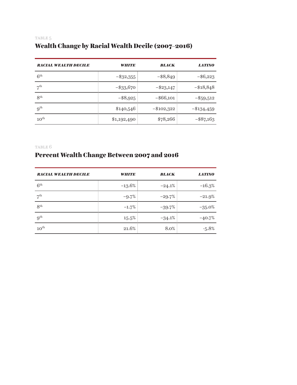### TABLE 5 Wealth Change by Racial Wealth Decile (2007–2016)

| <b>RACIAL WEALTH DECILE</b> | <b>WHITE</b> | <b>BLACK</b> | <b>LATINO</b> |
|-----------------------------|--------------|--------------|---------------|
| 6 <sup>th</sup>             | $-$ \$32,355 | $-$ \$8,849  | $-$ \$6,223   |
| 7 <sup>th</sup>             | $-$ \$33,670 | $-$ \$23,147 | $-\$18,848$   |
| 8 <sup>th</sup>             | $-$ \$8,925  | $-$ \$66,101 | $-$ \$59,512  |
| 9 <sup>th</sup>             | \$140,546    | $-\$102,322$ | $-\$134,459$  |
| $10^{\text{th}}$            | \$1,192,490  | \$78,266     | $-$ \$87,163  |

table 6

# Percent Wealth Change Between 2007 and 2016

| <b>RACIAL WEALTH DECILE</b> | <b>WHITE</b> | <b>BLACK</b> | <b>LATINO</b> |
|-----------------------------|--------------|--------------|---------------|
| 6 <sup>th</sup>             | $-13.6%$     | $-24.1\%$    | $-16.3%$      |
| 7 <sup>th</sup>             | $-9.7\%$     | $-29.7\%$    | $-21.9%$      |
| 8 <sup>th</sup>             | $-1.7\%$     | $-39.7\%$    | $-35.0%$      |
| $9^{\text{th}}$             | 15.5%        | $-34.1%$     | $-40.7\%$     |
| $10^{\text{th}}$            | 21.6%        | 8.0%         | $-5.8%$       |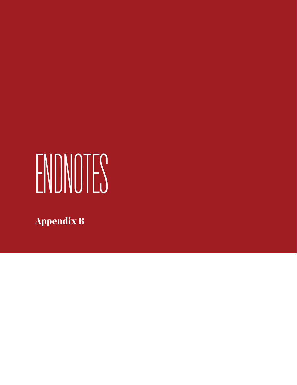# ENDNOTES

**Appendix B**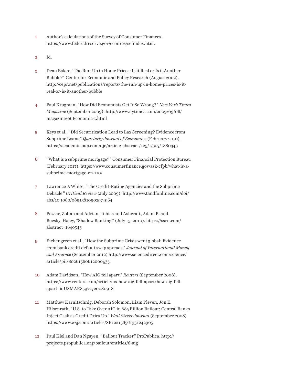- Author's calculations of the Survey of Consumer Finances. https://www.federalreserve.gov/econres/scfindex.htm. 1
- Id. 2
- Dean Baker, "The Run-Up in Home Prices: Is it Real or Is it Another Bubble?" Center for Economic and Policy Research (August 2002). http://cepr.net/publications/reports/the-run-up-in-home-prices-is-itreal-or-is-it-another-bubble 3
- Paul Krugman, "How Did Economists Get It So Wrong?" *New York Times Magazine* (September 2009). http://www.nytimes.com/2009/09/06/ magazine/06Economic-t.html 4
- Keys et al., "Did Securitization Lead to Lax Screening? Evidence from Subprime Loans." *Quarterly Journal of Economics* (February 2010). https://academic.oup.com/qje/article-abstract/125/1/307/1880343 5
- "What is a subprime mortgage?" Consumer Financial Protection Bureau (February 2017). https://www.consumerfinance.gov/ask-cfpb/what-is-asubprime-mortgage-en-110/ 6
- Lawrence J. White, "The Credit-Rating Agencies and the Subprime Debacle." *Critical Review* (July 2009). http://www.tandfonline.com/doi/ abs/10.1080/08913810902974964 7
- Pozsar, Zoltan and Adrian, Tobias and Ashcraft, Adam B. and Boesky, Haley, "Shadow Banking." (July 15, 2010). https://ssrn.com/ abstract=1640545 8
- Eichengreen et al., "How the Subprime Crisis went global: Evidence from bank credit default swap spreads." *Journal of International Money and Finance* (September 2012) http://www.sciencedirect.com/science/ article/pii/S0261560612000435 9
- Adam Davidson, "How AIG fell apart." *Reuters* (September 2008). https://www.reuters.com/article/us-how-aig-fell-apart/how-aig-fellapart- idUSMAR85972720080918 10
- Matthew Karnitschnig, Deborah Solomon, Liam Pleven, Jon E. Hilsenrath, "U.S. to Take Over AIG in \$85 Billion Bailout; Central Banks Inject Cash as Credit Dries Up." *Wall Street Journal* (September 2008) https://www.wsj.com/articles/SB122156561931242905 11
- Paul Kiel and Dan Nguyen, "Bailout Tracker." ProPublica. http:// projects.propublica.org/bailout/entities/8-aig 12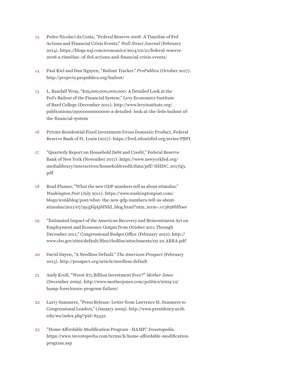- Pedro Nicolaci da Costa, "Federal Reserve 2008: A Timeline of Fed Actions and Financial Crisis Events." *Wall Street Journal* (February 2014). https://blogs.wsj.com/economics/2014/02/21/federal-reserve-2008-a-timeline- of-fed-actions-and-financial-crisis-events/ 13
- Paul Kiel and Dan Nguyen, "Bailout Tracker." *ProPublica* (October 2017). http://projects.propublica.org/bailout/ 14
- L. Randall Wray, "\$29,000,000,000,000: A Detailed Look at the Fed's Bailout of the Financial System." Levy Economics Institute of Bard College (December 2011). http://www.levyinstitute.org/ publications/29000000000000-a-detailed- look-at-the-feds-bailout-ofthe-financial-system 15
- Private Residential Fixed Investment/Gross Domestic Product, Federal Reserve Bank of St. Louis (2017). https://fred.stlouisfed.org/series/PRFI 16
- "Quarterly Report on Household Debt and Credit," Federal Reserve Bank of New York (November 2017). https://www.newyorkfed.org/ medialibrary/interactives/householdcredit/data/pdf/ HHDC\_2017Q3. pdf 17
- Brad Plumer, "What the new GDP numbers tell us about stimulus." *Washington Post* (July 2011). https://www.washingtonpost.com/ blogs/wonkblog/post/what- the-new-gdp-numbers-tell-us-aboutstimulus/2011/07/29/gIQAj8lNhI\_blog.html?utm\_term=.cc3838fdf0ee 18
- "Estimated Impact of the American Recovery and Reinvestment Act on Employment and Economic Output from October 2011 Through December 2011," Congressional Budget Office (February 2012). http:// www.cbo.gov/sites/default/files/cbofiles/attachments/02-22-ARRA.pdf 19
- David Dayen, "A Needless Default." *The American Prospect* (February 2015). http://prospect.org/article/needless-default 20
- Andy Kroll, "Worst \$75 Billion Investment Ever?" *Mother Jones* (December 2009). http://www.motherjones.com/politics/2009/12/ hamp-foreclosure-program-failure/ 21
- Larry Summers, "Press Release: Letter from Lawrence H. Summers to Congressional Leaders," (January 2009). http://www.presidency.ucsb. edu/ws/index.php?pid=85432 22
- "Home Affordable Modification Program HAMP," *Investopedia*. https://www.investopedia.com/terms/h/home-affordable-modificationprogram.asp 23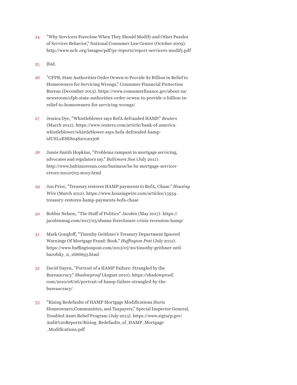- "Why Servicers Foreclose When They Should Modify and Other Puzzles of Servicer Behavior," National Consumer Law Center (October 2009). http://www.nclc.org/images/pdf/pr-reports/report-servicers-modify.pdf 24
- Ibid. 25
- "CFPB, State Authorities Order Ocwen to Provide \$2 Billion in Relief to Homeowners for Servicing Wrongs," Consumer Financial Protection Bureau (December 2013). https://www.consumerfinance.gov/about-us/ newsroom/cfpb-state-authorities-order-ocwen-to-provide-2-billion-inrelief-to-homeowners-for-servicing-wrongs/ 26
- Jessica Dye, "Whistleblower says BofA defrauded HAMP." *Reuters* (March 2012). https://www.reuters.com/article/bank-of-americawhistleblower/whistleblower-says-bofa-defrauded-hampidUSL2E8E804820120308 27
- Jamie Smith Hopkins, "Problems rampant in mortgage servicing, advocates and regulators say." *Baltimore Sun* (July 2011). http://www.baltimoresun.com/business/bs-bz-mortgage-servicererrors-20110703-story.html 28
- Jon Prior, "Treasury restores HAMP payments to BofA, Chase." *Housing Wire* (March 2012). https://www.housingwire.com/articles/15934 treasury-restores-hamp-payments-bofa-chase 29
- Robbie Nelson, "The Stuff of Politics" *Jacobin* (May 2017). https:// jacobinmag.com/2017/05/obama-foreclosure-crisis-recession-hamp/ 30
- Mark Gongloff, "Timothy Geithner's Treasury Department Ignored Warnings Of Mortgage Fraud: Book." *Huffington Post* (July 2012). https://www.huffingtonpost.com/2012/07/20/timothy-geithner-neilbarofsky\_n\_1686693.html 31
- David Dayen, "Portrait of a HAMP Failure: Strangled by the Bureaucracy." *Shadowproof* (August 2010). https://shadowproof. com/2010/08/26/portrait-of-hamp-failure-strangled-by-thebureaucracy/ 32
- "Rising Redefaults of HAMP Mortgage Modifications Hurts Homeowners,Communities, and Taxpayers," Special Inspector General, Troubled Asset Relief Program (July 2013). https://www.sigtarp.gov/ Audit%20Reports/Rising\_Redefaults\_of\_HAMP\_Mortgage \_Modifications.pdf 33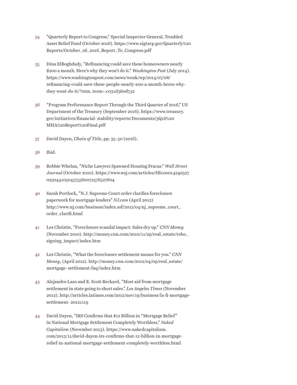- "Quarterly Report to Congress," Special Inspector General, Troubled Asset Relief Fund (October 2016). https://www.sigtarp.gov/Quarterly%20 Reports/October\_26\_2016\_Report\_To\_Congress.pdf 34
- Dina ElBoghdady, "Refinancing could save these homeowners nearly \$200 a month. Here's why they won't do it." *Washington Post* (July 2014). https://www.washingtonpost.com/news/wonk/wp/2014/07/08/ refinancing-could-save-these-people-nearly-200-a-month-heres-whythey-wont-do-it/?utm\_term=.c031d360d732 35
- "Program Performance Report Through the Third Quarter of 2016," US Department of the Treasury (September 2016). https://www.treasury. gov/initiatives/financial- stability/reports/Documents/3Q16%20 MHA%20Report%20Final.pdf 36
- David Dayen, *Chain of Title*, pp. 35–50 (2016). 37
- Ibid. 38
- Robbie Whelan, "Niche Lawyers Spawned Housing Fracas." *Wall Street Journal* (October 2010). https://www.wsj.com/articles/SB100014240527 02304410504575560072576527604 39
- Sarah Portlock, "N.J. Supreme Court order clarifies foreclosure paperwork for mortgage lenders" *NJ.com* (April 2012) http://www.nj.com/business/index.ssf/2012/04/nj\_supreme\_court\_ order\_clarifi.html 40
- Les Christie, "Foreclosure scandal impact: Sales dry up." *CNN Money* (November 2010). http://money.cnn.com/2010/11/29/real\_estate/robo\_ signing\_impact/index.htm 41
- Les Christie, "What the foreclosure settlement means for you." *CNN Money*, (April 2012). http://money.cnn.com/2012/04/09/real\_estate/ mortgage- settlement-faq/index.htm 42
- Alejandro Lazo and E. Scott Reckard, "Most aid from mortgage settlement in state going to short sales." *Los Angeles Times* (November 2012). http://articles.latimes.com/2012/nov/19/business/la-fi-mortgagesettlement- 20121119 43
- David Dayen, "IRS Confirms that \$12 Billion in "Mortgage Relief" in National Mortgage Settlement Completely Worthless." *Naked Capitalism* (November 2013). https://www.nakedcapitalism. com/2013/11/david-dayen-irs-confirms-that-12-billion-in-mortgagerelief-in-national-mortgage-settlement-completely-worthless.html 44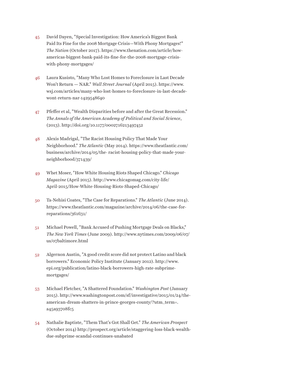- David Dayen, "Special Investigation: How America's Biggest Bank Paid Its Fine for the 2008 Mortgage Crisis—With Phony Mortgages!" *The Nation* (October 2017). https://www.thenation.com/article/howamericas-biggest-bank-paid-its-fine-for-the-2008-mortgage-crisiswith-phony-mortgages/ 45
- Laura Kusisto, "Many Who Lost Homes to Foreclosure in Last Decade Won't Return — NAR." *Wall Street Journal* (April 2015). https://www. wsj.com/articles/many-who-lost-homes-to-foreclosure-in-last-decadewont-return-nar-1429548640 46
- Pfeffer et al, "Wealth Disparities before and after the Great Recession." *The Annals of the American Academy of Political and Social Science*, (2013). http://doi.org/10.1177/0002716213497452 47
- Alexis Madrigal, "The Racist Housing Policy That Made Your Neighborhood." *The Atlantic* (May 2014). https://www.theatlantic.com/ business/archive/2014/05/the- racist-housing-policy-that-made-yourneighborhood/371439/ 48
- Whet Moser, "How White Housing Riots Shaped Chicago." *Chicago Magazine* (April 2015). http://www.chicagomag.com/city-life/ April-2015/How-White-Housing-Riots-Shaped-Chicago/ 49
- Ta-Nehisi Coates, "The Case for Reparations." *The Atlantic* (June 2014). https://www.theatlantic.com/magazine/archive/2014/06/the-case-forreparations/361631/ 50
- Michael Powell, "Bank Accused of Pushing Mortgage Deals on Blacks," *The New York Times* (June 2009). http://www.nytimes.com/2009/06/07/ us/07baltimore.html 51
- Algernon Austin, "A good credit score did not protect Latino and black borrowers." Economic Policy Institute (January 2012). http://www. epi.org/publication/latino-black-borrowers-high-rate-subprimemortgages/ 52
- Michael Fletcher, "A Shattered Foundation." *Washington Post* (January 2015). http://www.washingtonpost.com/sf/investigative/2015/01/24/theamerican-dream-shatters-in-prince-georges-county/?utm\_term=. a45a93708fc5 53
- Nathalie Baptiste, "Them That's Got Shall Get." *The American Prospect* (October 2014) http://prospect.org/article/staggering-loss-black-wealthdue-subprime-scandal-continues-unabated 54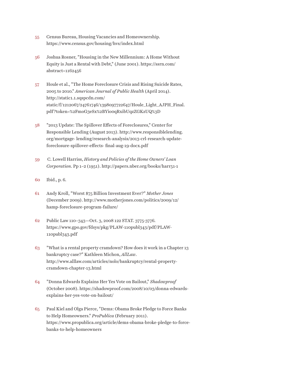- Census Bureau, Housing Vacancies and Homeownership. https://www.census.gov/housing/hvs/index.html 55
- Joshua Rosner, "Housing in the New Millennium: A Home Without Equity is Just a Rental with Debt," (June 2001). https://ssrn.com/ abstract=1162456 56
- Houle et al., "The Home Foreclosure Crisis and Rising Suicide Rates, 2005 to 2010." *American Journal of Public Health* (April 2014). http://static1.1.sqspcdn.com/ static/f/1212067/24761746/1398097722647/Houle\_Light\_AJPH\_Final. pdf?token=%2FmoG3eSx%2BYio0qRxibUqzZGKzUQ%3D 57
- "2013 Update: The Spillover Effects of Foreclosures," Center for Responsible Lending (August 2013). http://www.responsiblelending. org/mortgage- lending/research-analysis/2013-crl-research-updateforeclosure-spillover-effects- final-aug-19-docx.pdf 58
- C. Lowell Harriss, *History and Policies of the Home Owners' Loan Corporation*. Pp 1–2 (1951). http://papers.nber.org/books/harr51-1 59
- Ibid., p. 6. 60
- Andy Kroll, "Worst \$75 Billion Investment Ever?" *Mother Jones* (December 2009). http://www.motherjones.com/politics/2009/12/ hamp-foreclosure-program-failure/ 61
- Public Law 110–343—Oct. 3, 2008 122 STAT. 3775-3776. https://www.gpo.gov/fdsys/pkg/PLAW-110publ343/pdf/PLAW-110publ343.pdf 62
- "What is a rental property cramdown? How does it work in a Chapter 13 bankruptcy case?" Kathleen Michon, *AllLaw*. http://www.alllaw.com/articles/nolo/bankruptcy/rental-propertycramdown-chapter-13.html 63
- "Donna Edwards Explains Her Yes Vote on Bailout," *Shadowproof* (October 2008). https://shadowproof.com/2008/10/03/donna-edwardsexplains-her-yes-vote-on-bailout/ 64
- Paul Kiel and Olga Pierce, "Dems: Obama Broke Pledge to Force Banks to Help Homeowners." *ProPublica* (February 2011). https://www.propublica.org/article/dems-obama-broke-pledge-to-forcebanks-to-help-homeowners 65